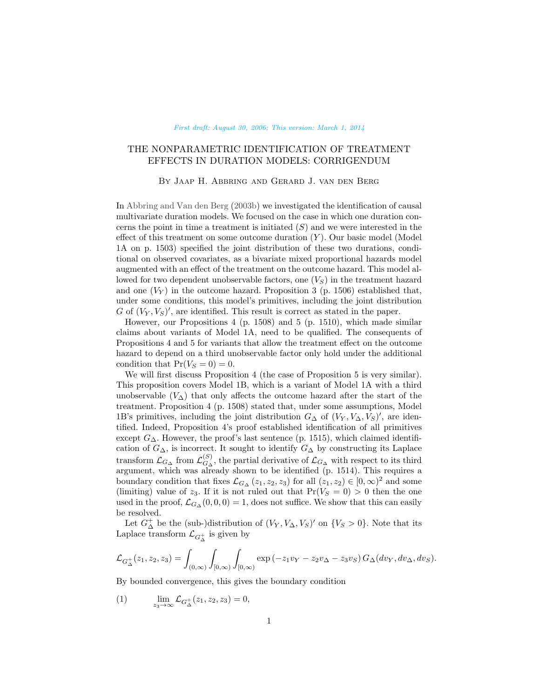#### [First draft: August 30, 2006; This version: March 1, 2014](http://research.abbring.org)

# <span id="page-0-0"></span>THE NONPARAMETRIC IDENTIFICATION OF TREATMENT EFFECTS IN DURATION MODELS: CORRIGENDUM

### By Jaap H. Abbring and Gerard J. van den Berg

In [Abbring and Van den Berg](#page-2-0) [\(2003b\)](#page-2-0) we investigated the identification of causal multivariate duration models. We focused on the case in which one duration concerns the point in time a treatment is initiated  $(S)$  and we were interested in the effect of this treatment on some outcome duration  $(Y)$ . Our basic model (Model 1A on p. 1503) specified the joint distribution of these two durations, conditional on observed covariates, as a bivariate mixed proportional hazards model augmented with an effect of the treatment on the outcome hazard. This model allowed for two dependent unobservable factors, one  $(V<sub>S</sub>)$  in the treatment hazard and one  $(V_Y)$  in the outcome hazard. Proposition 3 (p. 1506) established that, under some conditions, this model's primitives, including the joint distribution G of  $(V_Y, V_S)'$ , are identified. This result is correct as stated in the paper.

However, our Propositions 4 (p. 1508) and 5 (p. 1510), which made similar claims about variants of Model 1A, need to be qualified. The consequents of Propositions 4 and 5 for variants that allow the treatment effect on the outcome hazard to depend on a third unobservable factor only hold under the additional condition that  $Pr(V_S = 0) = 0$ .

We will first discuss Proposition 4 (the case of Proposition 5 is very similar). This proposition covers Model 1B, which is a variant of Model 1A with a third unobservable  $(V<sub>\Delta</sub>)$  that only affects the outcome hazard after the start of the treatment. Proposition 4 (p. 1508) stated that, under some assumptions, Model 1B's primitives, including the joint distribution  $G_{\Delta}$  of  $(V_Y, V_{\Delta}, V_S)'$ , are identified. Indeed, Proposition 4's proof established identification of all primitives except  $G_{\Delta}$ . However, the proof's last sentence (p. 1515), which claimed identification of  $G_{\Delta}$ , is incorrect. It sought to identify  $G_{\Delta}$  by constructing its Laplace transform  $\mathcal{L}_{G_{\Delta}}$  from  $\mathcal{L}_{G_{\Delta}}^{(S)}$  $G_{\Delta}^{(S)}$ , the partial derivative of  $\mathcal{L}_{G_{\Delta}}$  with respect to its third argument, which was already shown to be identified (p. 1514). This requires a boundary condition that fixes  $\mathcal{L}_{G_\Delta}(z_1, z_2, z_3)$  for all  $(z_1, z_2) \in [0, \infty)^2$  and some (limiting) value of  $z_3$ . If it is not ruled out that  $Pr(V_S = 0) > 0$  then the one used in the proof,  $\mathcal{L}_{G_{\Delta}}(0,0,0) = 1$ , does not suffice. We show that this can easily be resolved.

Let  $G_{\Delta}^+$  be the (sub-)distribution of  $(V_Y, V_{\Delta}, V_S)'$  on  $\{V_S > 0\}$ . Note that its Laplace transform  $\mathcal{L}_{G_{\Delta}^+}$  is given by

$$
\mathcal{L}_{G_{\Delta}^{+}}(z_{1}, z_{2}, z_{3}) = \int_{(0,\infty)} \int_{[0,\infty)} \int_{[0,\infty)} \exp(-z_{1}v_{Y} - z_{2}v_{\Delta} - z_{3}v_{S}) G_{\Delta}(dv_{Y}, dv_{\Delta}, dv_{S}).
$$

By bounded convergence, this gives the boundary condition

(1) 
$$
\lim_{z_3 \to \infty} \mathcal{L}_{G_{\Delta}^+}(z_1, z_2, z_3) = 0,
$$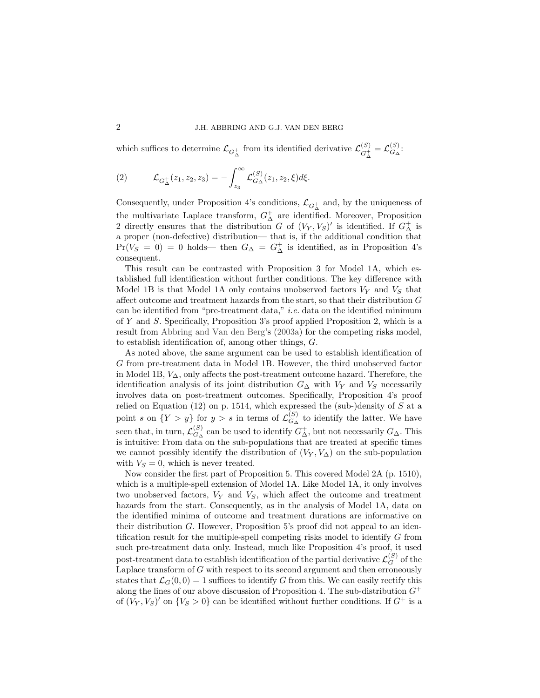<span id="page-1-0"></span>which suffices to determine  $\mathcal{L}_{G^+_{\Delta}}$  from its identified derivative  $\mathcal{L}_{G^+_{\Delta}}^{(S)}$  $G^{\left( S \right)}_{\Delta} = \mathcal{L}^{\left( S \right)}_{G_{\Delta}}$  $G^{\text{}}_{\Delta}$ :

(2) 
$$
\mathcal{L}_{G_{\Delta}^{+}}(z_1, z_2, z_3) = -\int_{z_3}^{\infty} \mathcal{L}_{G_{\Delta}}^{(S)}(z_1, z_2, \xi) d\xi.
$$

Consequently, under Proposition 4's conditions,  $\mathcal{L}_{G^+_{\Delta}}$  and, by the uniqueness of the multivariate Laplace transform,  $G^+_\Delta$  are identified. Moreover, Proposition 2 directly ensures that the distribution G of  $(V_Y, V_S)'$  is identified. If  $G^+_{\Delta}$  is a proper (non-defective) distribution— that is, if the additional condition that  $Pr(V_S = 0) = 0$  holds— then  $G_{\Delta} = G_{\Delta}^+$  is identified, as in Proposition 4's consequent.

This result can be contrasted with Proposition 3 for Model 1A, which established full identification without further conditions. The key difference with Model 1B is that Model 1A only contains unobserved factors  $V_Y$  and  $V_S$  that affect outcome and treatment hazards from the start, so that their distribution  $G$ can be identified from "pre-treatment data," *i.e.* data on the identified minimum of Y and S. Specifically, Proposition 3's proof applied Proposition 2, which is a result from [Abbring and Van den Berg'](#page-2-1)s [\(2003a\)](#page-2-1) for the competing risks model, to establish identification of, among other things, G.

As noted above, the same argument can be used to establish identification of G from pre-treatment data in Model 1B. However, the third unobserved factor in Model 1B, V∆, only affects the post-treatment outcome hazard. Therefore, the identification analysis of its joint distribution  $G_{\Delta}$  with  $V_Y$  and  $V_S$  necessarily involves data on post-treatment outcomes. Specifically, Proposition 4's proof relied on Equation  $(12)$  on p. 1514, which expressed the (sub-)density of S at a point s on  $\{Y > y\}$  for  $y > s$  in terms of  $\mathcal{L}_{G_s}^{(S)}$  $G_{\Delta}^{(S)}$  to identify the latter. We have seen that, in turn,  $\mathcal{L}_{G_\Lambda}^{(S)}$  $\binom{S}{G_{\Delta}}$  can be used to identify  $G_{\Delta}^+$ , but not necessarily  $G_{\Delta}$ . This is intuitive: From data on the sub-populations that are treated at specific times we cannot possibly identify the distribution of  $(V_Y, V_\Delta)$  on the sub-population with  $V_S = 0$ , which is never treated.

Now consider the first part of Proposition 5. This covered Model 2A (p. 1510), which is a multiple-spell extension of Model 1A. Like Model 1A, it only involves two unobserved factors,  $V_Y$  and  $V_S$ , which affect the outcome and treatment hazards from the start. Consequently, as in the analysis of Model 1A, data on the identified minima of outcome and treatment durations are informative on their distribution G. However, Proposition 5's proof did not appeal to an identification result for the multiple-spell competing risks model to identify G from such pre-treatment data only. Instead, much like Proposition 4's proof, it used post-treatment data to establish identification of the partial derivative  $\mathcal{L}_G^{(S)}$  of the Laplace transform of  $G$  with respect to its second argument and then erroneously states that  $\mathcal{L}_G(0,0) = 1$  suffices to identify G from this. We can easily rectify this along the lines of our above discussion of Proposition 4. The sub-distribution  $G^+$ of  $(V_Y, V_S)'$  on  $\{V_S > 0\}$  can be identified without further conditions. If  $G^+$  is a